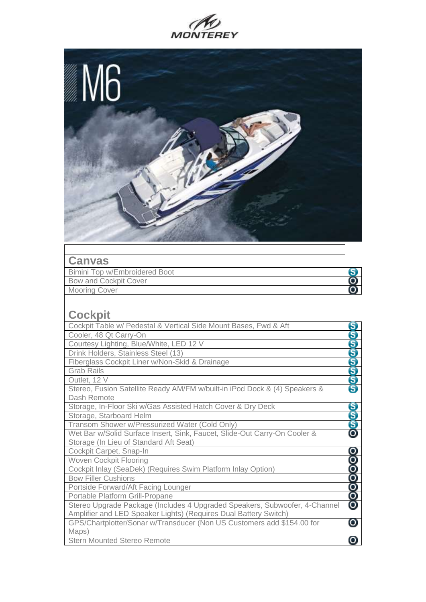



| <b>Canvas</b>                                                              |                       |
|----------------------------------------------------------------------------|-----------------------|
| <b>Bimini Top w/Embroidered Boot</b>                                       | 8                     |
| <b>Bow and Cockpit Cover</b>                                               | 8                     |
| <b>Mooring Cover</b>                                                       |                       |
|                                                                            |                       |
| <b>Cockpit</b>                                                             |                       |
| Cockpit Table w/ Pedestal & Vertical Side Mount Bases, Fwd & Aft           | ဓ                     |
| Cooler, 48 Qt Carry-On                                                     |                       |
| Courtesy Lighting, Blue/White, LED 12 V                                    |                       |
| Drink Holders, Stainless Steel (13)                                        |                       |
| Fiberglass Cockpit Liner w/Non-Skid & Drainage                             | மல்லை                 |
| <b>Grab Rails</b>                                                          |                       |
| Outlet, 12 V                                                               |                       |
| Stereo, Fusion Satellite Ready AM/FM w/built-in iPod Dock & (4) Speakers & |                       |
| Dash Remote                                                                |                       |
| Storage, In-Floor Ski w/Gas Assisted Hatch Cover & Dry Deck                | S<br>S                |
| Storage, Starboard Helm                                                    |                       |
| Transom Shower w/Pressurized Water (Cold Only)                             |                       |
| Wet Bar w/Solid Surface Insert, Sink, Faucet, Slide-Out Carry-On Cooler &  | $\mathbf 0$           |
| Storage (In Lieu of Standard Aft Seat)                                     |                       |
| Cockpit Carpet, Snap-In                                                    | $\boldsymbol{\Theta}$ |
| <b>Woven Cockpit Flooring</b>                                              |                       |
| Cockpit Inlay (SeaDek) (Requires Swim Platform Inlay Option)               |                       |
| <b>Bow Filler Cushions</b>                                                 |                       |
| Portside Forward/Aft Facing Lounger                                        | <b>99999</b>          |
| Portable Platform Grill-Propane                                            |                       |
| Stereo Upgrade Package (Includes 4 Upgraded Speakers, Subwoofer, 4-Channel |                       |
| Amplifier and LED Speaker Lights) (Requires Dual Battery Switch)           |                       |
| GPS/Chartplotter/Sonar w/Transducer (Non US Customers add \$154.00 for     | 0                     |
| Maps)                                                                      |                       |
| <b>Stern Mounted Stereo Remote</b>                                         | Ο                     |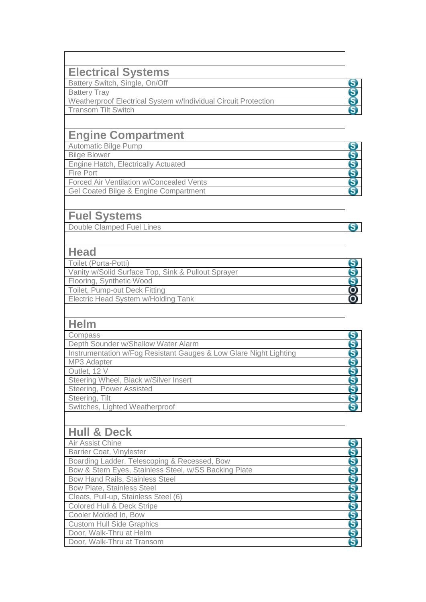| <b>Electrical Systems</b>                                         |
|-------------------------------------------------------------------|
| Battery Switch, Single, On/Off                                    |
| <b>Battery Tray</b>                                               |
| Weatherproof Electrical System w/Individual Circuit Protection    |
| <b>Transom Tilt Switch</b>                                        |
|                                                                   |
| <b>Engine Compartment</b>                                         |
| <b>Automatic Bilge Pump</b>                                       |
| <b>Bilge Blower</b>                                               |
| <b>Engine Hatch, Electrically Actuated</b>                        |
| Fire Port                                                         |
| Forced Air Ventilation w/Concealed Vents                          |
| Gel Coated Bilge & Engine Compartment                             |
|                                                                   |
| <b>Fuel Systems</b>                                               |
| <b>Double Clamped Fuel Lines</b>                                  |
|                                                                   |
| Head                                                              |
| Toilet (Porta-Potti)                                              |
| Vanity w/Solid Surface Top, Sink & Pullout Sprayer                |
| Flooring, Synthetic Wood                                          |
| Toilet, Pump-out Deck Fitting                                     |
| Electric Head System w/Holding Tank                               |
|                                                                   |
| <b>Helm</b>                                                       |
| Compass                                                           |
| Depth Sounder w/Shallow Water Alarm                               |
| Instrumentation w/Fog Resistant Gauges & Low Glare Night Lighting |
| MP3 Adapter                                                       |
| Outlet, 12 V                                                      |
| Steering Wheel, Black w/Silver Insert                             |
| Steering, Power Assisted                                          |
| Steering, Tilt                                                    |
| Switches, Lighted Weatherproof                                    |
|                                                                   |
| <b>Hull &amp; Deck</b>                                            |
| Air Assist Chine                                                  |
| <b>Barrier Coat, Vinylester</b>                                   |
| Boarding Ladder, Telescoping & Recessed, Bow                      |
| Bow & Stern Eyes, Stainless Steel, w/SS Backing Plate             |
| <b>Bow Hand Rails, Stainless Steel</b>                            |
| <b>Bow Plate, Stainless Steel</b>                                 |
| Cleats, Pull-up, Stainless Steel (6)                              |
| <b>Colored Hull &amp; Deck Stripe</b>                             |

**OOOO** 

တ်စစ်စစ်စ

 $\mathbf{S}$ 

00000

တ္တစ္တစ္တစ္တစ္တစ္တစ္တ

<mark>စစ်စစ်စစ်စစ်စစ်စ</mark>

Cooler Molded In, Bow Custom Hull Side Graphics Door, Walk-Thru at Helm Door, Walk-Thru at Transom